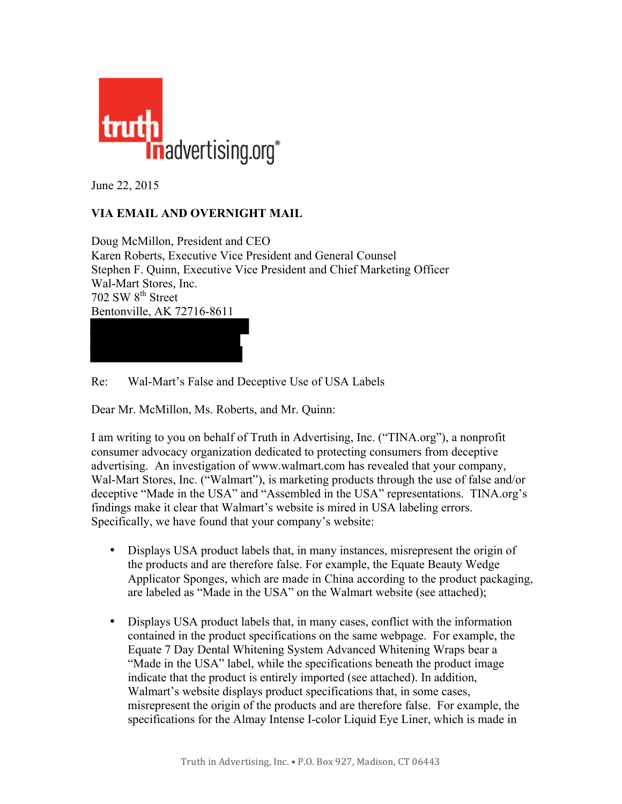

June 22, 2015

## **VIA EMAIL AND OVERNIGHT MAIL**

Doug McMillon, President and CEO Karen Roberts, Executive Vice President and General Counsel Stephen F. Quinn, Executive Vice President and Chief Marketing Officer Wal-Mart Stores, Inc.  $702$  SW  $8<sup>th</sup>$  Street Bentonville, AK 72716-8611

Re: Wal-Mart's False and Deceptive Use of USA Labels

Dear Mr. McMillon, Ms. Roberts, and Mr. Quinn:

I am writing to you on behalf of Truth in Advertising, Inc. ("TINA.org"), a nonprofit consumer advocacy organization dedicated to protecting consumers from deceptive advertising. An investigation of www.walmart.com has revealed that your company, Wal-Mart Stores, Inc. ("Walmart"), is marketing products through the use of false and/or deceptive "Made in the USA" and "Assembled in the USA" representations. TINA.org's findings make it clear that Walmart's website is mired in USA labeling errors. Specifically, we have found that your company's website:

- Displays USA product labels that, in many instances, misrepresent the origin of the products and are therefore false. For example, the Equate Beauty Wedge Applicator Sponges, which are made in China according to the product packaging, are labeled as "Made in the USA" on the Walmart website (see attached);
- Displays USA product labels that, in many cases, conflict with the information contained in the product specifications on the same webpage. For example, the Equate 7 Day Dental Whitening System Advanced Whitening Wraps bear a "Made in the USA" label, while the specifications beneath the product image indicate that the product is entirely imported (see attached). In addition, Walmart's website displays product specifications that, in some cases, misrepresent the origin of the products and are therefore false. For example, the specifications for the Almay Intense I-color Liquid Eye Liner, which is made in